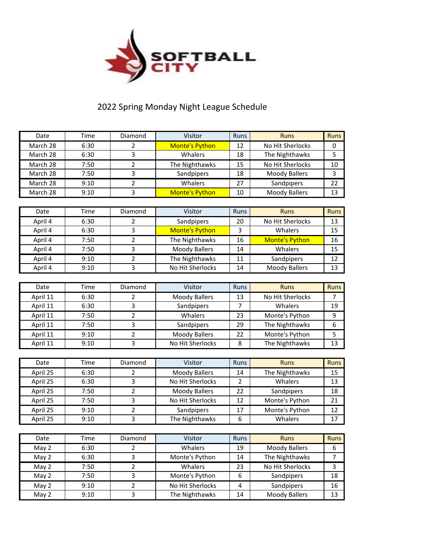

## 2022 Spring Monday Night League Schedule

| Date     | Time | Diamond                 | Visitor               | Runs           | <b>Runs</b>           | <b>Runs</b> |
|----------|------|-------------------------|-----------------------|----------------|-----------------------|-------------|
| March 28 | 6:30 | 2                       | <b>Monte's Python</b> | 12             | No Hit Sherlocks      | 0           |
| March 28 | 6:30 | 3                       | Whalers               | 18             | The Nighthawks        | 5           |
| March 28 | 7:50 | 2                       | The Nighthawks        | 15             | No Hit Sherlocks      | 10          |
| March 28 | 7:50 | 3                       | Sandpipers            | 18             | <b>Moody Ballers</b>  | 3           |
| March 28 | 9:10 | 2                       | Whalers               | 27             | Sandpipers            | 22          |
| March 28 | 9:10 | 3                       | <b>Monte's Python</b> | 10             | <b>Moody Ballers</b>  | 13          |
|          |      |                         |                       |                |                       |             |
| Date     | Time | Diamond                 | Visitor               | Runs           | <b>Runs</b>           | <b>Runs</b> |
| April 4  | 6:30 | 2                       | Sandpipers            | 20             | No Hit Sherlocks      | 13          |
| April 4  | 6:30 | 3                       | <b>Monte's Python</b> | 3              | Whalers               | 15          |
| April 4  | 7:50 | 2                       | The Nighthawks        | 16             | <b>Monte's Python</b> | 16          |
| April 4  | 7:50 | 3                       | <b>Moody Ballers</b>  | 14             | Whalers               | 15          |
| April 4  | 9:10 | $\overline{\mathbf{c}}$ | The Nighthawks        | 11             | Sandpipers            | 12          |
| April 4  | 9:10 | 3                       | No Hit Sherlocks      | 14             | <b>Moody Ballers</b>  | 13          |
|          |      |                         |                       |                |                       |             |
| Date     | Time | Diamond                 | Visitor               | <b>Runs</b>    | <b>Runs</b>           | <b>Runs</b> |
| April 11 | 6:30 | 2                       | <b>Moody Ballers</b>  | 13             | No Hit Sherlocks      | 7           |
| April 11 | 6:30 | 3                       | Sandpipers            | 7              | Whalers               | 19          |
| April 11 | 7:50 | 2                       | Whalers               | 23             | Monte's Python        | 9           |
| April 11 | 7:50 | 3                       | Sandpipers            | 29             | The Nighthawks        | 6           |
| April 11 | 9:10 | $\overline{2}$          | <b>Moody Ballers</b>  | 22             | Monte's Python        | 5           |
| April 11 | 9:10 | 3                       | No Hit Sherlocks      | 8              | The Nighthawks        | 13          |
|          |      |                         |                       |                |                       |             |
| Date     | Time | Diamond                 | Visitor               | Runs           | <b>Runs</b>           | <b>Runs</b> |
| April 25 | 6:30 | 2                       | <b>Moody Ballers</b>  | 14             | The Nighthawks        | 15          |
| April 25 | 6:30 | 3                       | No Hit Sherlocks      | $\overline{2}$ | Whalers               | 13          |
| April 25 | 7:50 | 2                       | <b>Moody Ballers</b>  | 22             | Sandpipers            | 18          |
| April 25 | 7:50 | 3                       | No Hit Sherlocks      | 12             | Monte's Python        | 21          |
| April 25 | 9:10 | 2                       | Sandpipers            | 17             | Monte's Python        | 12          |
| April 25 | 9:10 | 3                       | The Nighthawks        | 6              | Whalers               | 17          |
|          |      |                         |                       |                |                       |             |
| Date     | Time | Diamond                 | Visitor               | Runs           | <b>Runs</b>           | <b>Runs</b> |
| May 2    | 6:30 | $\overline{2}$          | Whalers               | 19             | <b>Moody Ballers</b>  | 6           |
| May 2    | 6:30 | 3                       | Monte's Python        | 14             | The Nighthawks        | 7           |
| May 2    | 7:50 | $\overline{2}$          | Whalers               | 23             | No Hit Sherlocks      | 3           |
| May 2    | 7:50 | 3                       | Monte's Python        | 6              | Sandpipers            | 18          |
| May 2    | 9:10 | $\overline{2}$          | No Hit Sherlocks      | 4              | Sandpipers            | 16          |
| May 2    | 9:10 | 3                       | The Nighthawks        | 14             | <b>Moody Ballers</b>  | 13          |